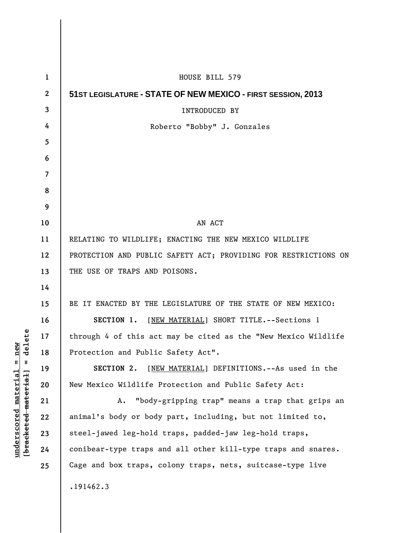| $\mathbf{1}$   | HOUSE BILL 579                                                  |
|----------------|-----------------------------------------------------------------|
| $\mathbf{2}$   | 51ST LEGISLATURE - STATE OF NEW MEXICO - FIRST SESSION, 2013    |
| 3              | <b>INTRODUCED BY</b>                                            |
| 4              | Roberto "Bobby" J. Gonzales                                     |
| 5              |                                                                 |
| 6              |                                                                 |
| $\overline{7}$ |                                                                 |
| 8              |                                                                 |
| 9              |                                                                 |
| 10             | AN ACT                                                          |
| 11             | RELATING TO WILDLIFE; ENACTING THE NEW MEXICO WILDLIFE          |
| 12             | PROTECTION AND PUBLIC SAFETY ACT; PROVIDING FOR RESTRICTIONS ON |
| 13             | THE USE OF TRAPS AND POISONS.                                   |
| 14             |                                                                 |
| 15             | BE IT ENACTED BY THE LEGISLATURE OF THE STATE OF NEW MEXICO:    |
| 16             | SECTION 1. [NEW MATERIAL] SHORT TITLE. -- Sections 1            |
| 17             | through 4 of this act may be cited as the "New Mexico Wildlife  |
| 18             | Protection and Public Safety Act".                              |
| 19             | SECTION 2.<br>[NEW MATERIAL] DEFINITIONS. -- As used in the     |
| 20             | New Mexico Wildlife Protection and Public Safety Act:           |
| 21             | "body-gripping trap" means a trap that grips an<br>Α.           |
| 22             | animal's body or body part, including, but not limited to,      |
| 23             | steel-jawed leg-hold traps, padded-jaw leg-hold traps,          |
| 24             | conibear-type traps and all other kill-type traps and snares.   |
| 25             | Cage and box traps, colony traps, nets, suitcase-type live      |
|                | .191462.3                                                       |
|                |                                                                 |

 $\mathsf{I}$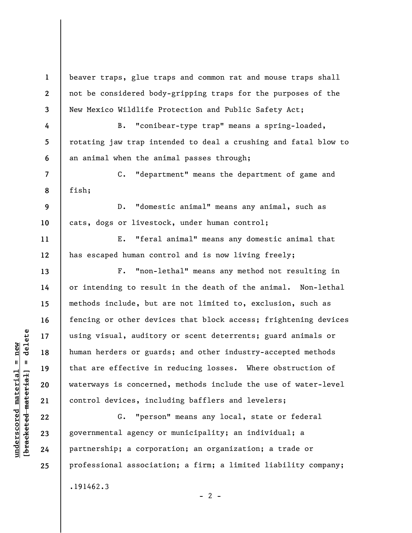**1 2 3 4 5 6 7 8 9 10 11 12 13 14 15 16 17 18 19 20 21 22 23 24 25**  beaver traps, glue traps and common rat and mouse traps shall not be considered body-gripping traps for the purposes of the New Mexico Wildlife Protection and Public Safety Act; B. "conibear-type trap" means a spring-loaded, rotating jaw trap intended to deal a crushing and fatal blow to an animal when the animal passes through; C. "department" means the department of game and fish; D. "domestic animal" means any animal, such as cats, dogs or livestock, under human control; E. "feral animal" means any domestic animal that has escaped human control and is now living freely; F. "non-lethal" means any method not resulting in or intending to result in the death of the animal. Non-lethal methods include, but are not limited to, exclusion, such as fencing or other devices that block access; frightening devices using visual, auditory or scent deterrents; guard animals or human herders or guards; and other industry-accepted methods that are effective in reducing losses. Where obstruction of waterways is concerned, methods include the use of water-level control devices, including bafflers and levelers; G. "person" means any local, state or federal governmental agency or municipality; an individual; a partnership; a corporation; an organization; a trade or professional association; a firm; a limited liability company; .191462.3

 $\frac{1}{2}$  bracketed material = delete **[bracketed material] = delete**  $underscored material = new$ **underscored material = new**

 $- 2 -$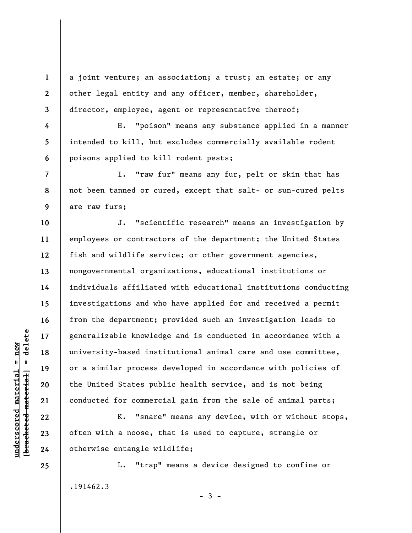a joint venture; an association; a trust; an estate; or any other legal entity and any officer, member, shareholder, director, employee, agent or representative thereof;

H. "poison" means any substance applied in a manner intended to kill, but excludes commercially available rodent poisons applied to kill rodent pests;

I. "raw fur" means any fur, pelt or skin that has not been tanned or cured, except that salt- or sun-cured pelts are raw furs;

J. "scientific research" means an investigation by employees or contractors of the department; the United States fish and wildlife service; or other government agencies, nongovernmental organizations, educational institutions or individuals affiliated with educational institutions conducting investigations and who have applied for and received a permit from the department; provided such an investigation leads to generalizable knowledge and is conducted in accordance with a university-based institutional animal care and use committee, or a similar process developed in accordance with policies of the United States public health service, and is not being conducted for commercial gain from the sale of animal parts;

K. "snare" means any device, with or without stops, often with a noose, that is used to capture, strangle or otherwise entangle wildlife;

L. "trap" means a device designed to confine or .191462.3  $-3 -$ 

 $\frac{1}{2}$  intereted material = delete **[bracketed material] = delete**  $underscored material = new$ **underscored material = new**

**25** 

**1** 

**2** 

**3** 

**4** 

**5** 

**6** 

**7** 

**8** 

**9** 

**10** 

**11** 

**12** 

**13** 

**14** 

**15** 

**16** 

**17** 

**18** 

**19** 

**20** 

**21** 

**22** 

**23**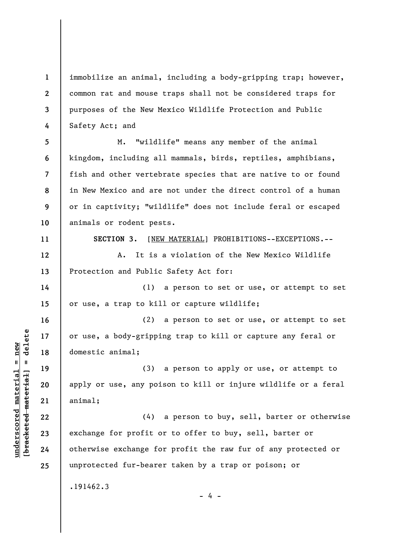**1 2 3 4**  immobilize an animal, including a body-gripping trap; however, common rat and mouse traps shall not be considered traps for purposes of the New Mexico Wildlife Protection and Public Safety Act; and

**5 6 7 8 9 10**  M. "wildlife" means any member of the animal kingdom, including all mammals, birds, reptiles, amphibians, fish and other vertebrate species that are native to or found in New Mexico and are not under the direct control of a human or in captivity; "wildlife" does not include feral or escaped animals or rodent pests.

**11** 

**14** 

**15** 

**16** 

**17** 

**18** 

**19** 

**20** 

**21** 

**22** 

**23** 

**24** 

**25** 

**SECTION 3.** [NEW MATERIAL] PROHIBITIONS--EXCEPTIONS.--

**12 13**  A. It is a violation of the New Mexico Wildlife Protection and Public Safety Act for:

(1) a person to set or use, or attempt to set or use, a trap to kill or capture wildlife;

(2) a person to set or use, or attempt to set or use, a body-gripping trap to kill or capture any feral or domestic animal;

(3) a person to apply or use, or attempt to apply or use, any poison to kill or injure wildlife or a feral animal;

(4) a person to buy, sell, barter or otherwise exchange for profit or to offer to buy, sell, barter or otherwise exchange for profit the raw fur of any protected or unprotected fur-bearer taken by a trap or poison; or

- 4 -

.191462.3

 $\frac{1}{2}$  intereted material = delete **[bracketed material] = delete**  $underscored material = new$ **underscored material = new**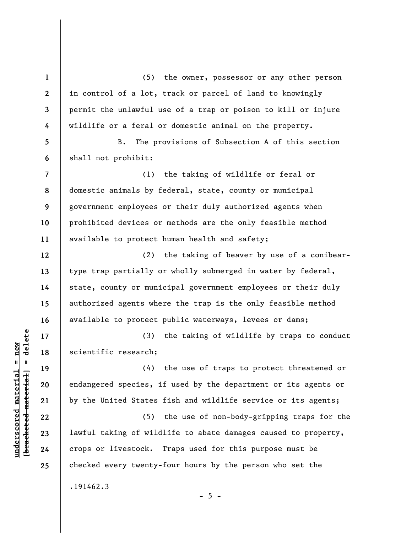**1 2 3 4 5 6 7 8 9 10 11 12 13 14 15 16 17 18 19 20 21 22 23 24 25**  (5) the owner, possessor or any other person in control of a lot, track or parcel of land to knowingly permit the unlawful use of a trap or poison to kill or injure wildlife or a feral or domestic animal on the property. B. The provisions of Subsection A of this section shall not prohibit: (1) the taking of wildlife or feral or domestic animals by federal, state, county or municipal government employees or their duly authorized agents when prohibited devices or methods are the only feasible method available to protect human health and safety; (2) the taking of beaver by use of a conibeartype trap partially or wholly submerged in water by federal, state, county or municipal government employees or their duly authorized agents where the trap is the only feasible method available to protect public waterways, levees or dams; (3) the taking of wildlife by traps to conduct scientific research; (4) the use of traps to protect threatened or endangered species, if used by the department or its agents or by the United States fish and wildlife service or its agents; (5) the use of non-body-gripping traps for the lawful taking of wildlife to abate damages caused to property, crops or livestock. Traps used for this purpose must be checked every twenty-four hours by the person who set the .191462.3  $- 5 -$ 

**underscored material = new [bracketed material] = delete**

 $\frac{1}{2}$  bracketed material = delete  $underscored material = new$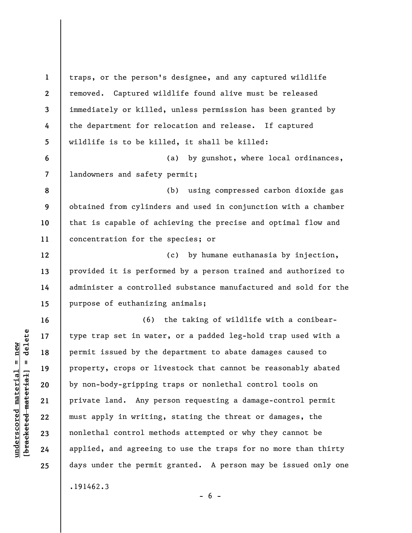**1 2 3 4 5 6 7 8 9 10 11 12 13 14 15 16 17 18 19 20 21 22 23 24 25**  traps, or the person's designee, and any captured wildlife removed. Captured wildlife found alive must be released immediately or killed, unless permission has been granted by the department for relocation and release. If captured wildlife is to be killed, it shall be killed: (a) by gunshot, where local ordinances, landowners and safety permit; (b) using compressed carbon dioxide gas obtained from cylinders and used in conjunction with a chamber that is capable of achieving the precise and optimal flow and concentration for the species; or (c) by humane euthanasia by injection, provided it is performed by a person trained and authorized to administer a controlled substance manufactured and sold for the purpose of euthanizing animals; (6) the taking of wildlife with a conibeartype trap set in water, or a padded leg-hold trap used with a permit issued by the department to abate damages caused to property, crops or livestock that cannot be reasonably abated by non-body-gripping traps or nonlethal control tools on private land. Any person requesting a damage-control permit must apply in writing, stating the threat or damages, the nonlethal control methods attempted or why they cannot be applied, and agreeing to use the traps for no more than thirty days under the permit granted. A person may be issued only one .191462.3

 $- 6 -$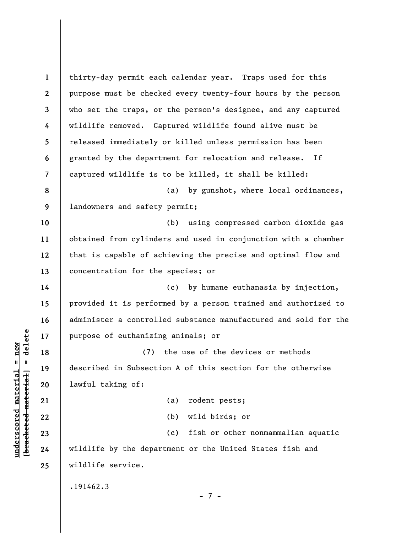**1 2 3 4 5 6 7 8 9 10 11 12 13 14 15 16 17 18 19 20 21 22 23 24 25**  thirty-day permit each calendar year. Traps used for this purpose must be checked every twenty-four hours by the person who set the traps, or the person's designee, and any captured wildlife removed. Captured wildlife found alive must be released immediately or killed unless permission has been granted by the department for relocation and release. If captured wildlife is to be killed, it shall be killed: (a) by gunshot, where local ordinances, landowners and safety permit; (b) using compressed carbon dioxide gas obtained from cylinders and used in conjunction with a chamber that is capable of achieving the precise and optimal flow and concentration for the species; or (c) by humane euthanasia by injection, provided it is performed by a person trained and authorized to administer a controlled substance manufactured and sold for the purpose of euthanizing animals; or (7) the use of the devices or methods described in Subsection A of this section for the otherwise lawful taking of: (a) rodent pests; (b) wild birds; or (c) fish or other nonmammalian aquatic wildlife by the department or the United States fish and wildlife service. .191462.3 - 7 -

 $\frac{1}{2}$  intereted material = delete **[bracketed material] = delete**  $underscored material = new$ **underscored material = new**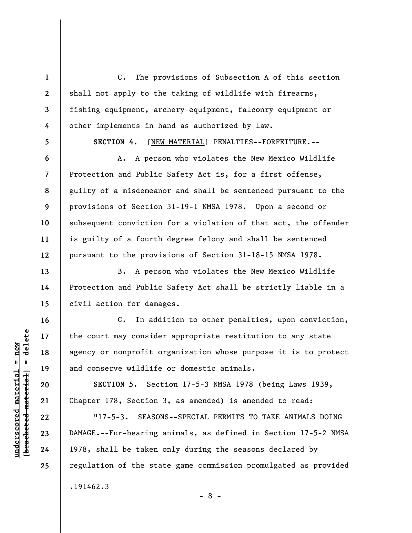C. The provisions of Subsection A of this section shall not apply to the taking of wildlife with firearms, fishing equipment, archery equipment, falconry equipment or other implements in hand as authorized by law.

**5** 

**6** 

**7** 

**8** 

**9** 

**10** 

**11** 

**12** 

**13** 

**14** 

**15** 

**16** 

**17** 

**18** 

**19** 

**20** 

**21** 

**22** 

**23** 

**24** 

**25** 

**1** 

**2** 

**3** 

**4** 

**SECTION 4.** [NEW MATERIAL] PENALTIES--FORFEITURE.--

A. A person who violates the New Mexico Wildlife Protection and Public Safety Act is, for a first offense, guilty of a misdemeanor and shall be sentenced pursuant to the provisions of Section 31-19-1 NMSA 1978. Upon a second or subsequent conviction for a violation of that act, the offender is guilty of a fourth degree felony and shall be sentenced pursuant to the provisions of Section 31-18-15 NMSA 1978.

B. A person who violates the New Mexico Wildlife Protection and Public Safety Act shall be strictly liable in a civil action for damages.

C. In addition to other penalties, upon conviction, the court may consider appropriate restitution to any state agency or nonprofit organization whose purpose it is to protect and conserve wildlife or domestic animals.

**SECTION 5.** Section 17-5-3 NMSA 1978 (being Laws 1939, Chapter 178, Section 3, as amended) is amended to read:

"17-5-3. SEASONS--SPECIAL PERMITS TO TAKE ANIMALS DOING DAMAGE.--Fur-bearing animals, as defined in Section 17-5-2 NMSA 1978, shall be taken only during the seasons declared by regulation of the state game commission promulgated as provided .191462.3

- 8 -

 $\frac{1}{2}$  of  $\frac{1}{2}$  and  $\frac{1}{2}$  and  $\frac{1}{2}$  and  $\frac{1}{2}$  and  $\frac{1}{2}$  and  $\frac{1}{2}$  and  $\frac{1}{2}$  and  $\frac{1}{2}$  and  $\frac{1}{2}$  and  $\frac{1}{2}$  and  $\frac{1}{2}$  and  $\frac{1}{2}$  and  $\frac{1}{2}$  and  $\frac{1}{2}$  and  $\frac{1}{2}$  an **[bracketed material] = delete**  $underscored material = new$ **underscored material = new**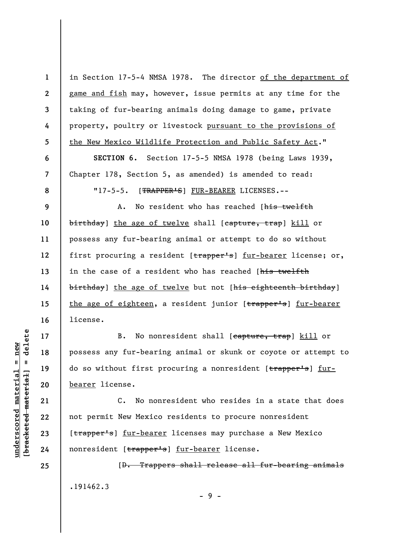**1 2 3 4 5 6 7 8 9 10 11 12 13 14 15 16 17 18 19 20 21 22 23 24 25**  in Section 17-5-4 NMSA 1978. The director of the department of game and fish may, however, issue permits at any time for the taking of fur-bearing animals doing damage to game, private property, poultry or livestock pursuant to the provisions of the New Mexico Wildlife Protection and Public Safety Act." **SECTION 6.** Section 17-5-5 NMSA 1978 (being Laws 1939, Chapter 178, Section 5, as amended) is amended to read: "17-5-5. [TRAPPER'S] FUR-BEARER LICENSES.--A. No resident who has reached [his twelfth birthday] the age of twelve shall [capture, trap] kill or possess any fur-bearing animal or attempt to do so without first procuring a resident [trapper's] fur-bearer license; or, in the case of a resident who has reached [his twelfth birthday] the age of twelve but not [his eighteenth birthday] the age of eighteen, a resident junior [trapper's] fur-bearer license. B. No nonresident shall [capture, trap] kill or possess any fur-bearing animal or skunk or coyote or attempt to do so without first procuring a nonresident [trapper's] furbearer license. C. No nonresident who resides in a state that does not permit New Mexico residents to procure nonresident [trapper's] fur-bearer licenses may purchase a New Mexico nonresident [trapper's] fur-bearer license. [D. Trappers shall release all fur-bearing animals

.191462.3

**underscored material = new [bracketed material] = delete**

 $anderscored material = new$ 

delete

 $\mathbf{I}$ 

bracketed material

- 9 -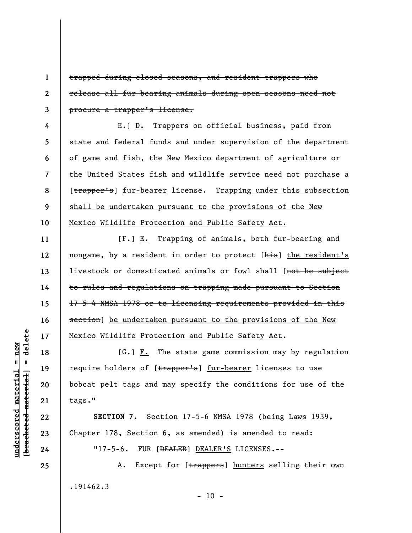trapped during closed seasons, and resident trappers who release all fur-bearing animals during open seasons need not procure a trapper's license.

**4 5 6 7 8 9 10**  E.] D. Trappers on official business, paid from state and federal funds and under supervision of the department of game and fish, the New Mexico department of agriculture or the United States fish and wildlife service need not purchase a [trapper's] fur-bearer license. Trapping under this subsection shall be undertaken pursuant to the provisions of the New Mexico Wildlife Protection and Public Safety Act.

[F.] E. Trapping of animals, both fur-bearing and nongame, by a resident in order to protect [his] the resident's livestock or domesticated animals or fowl shall [not be subject to rules and regulations on trapping made pursuant to Section 17-5-4 NMSA 1978 or to licensing requirements provided in this section] be undertaken pursuant to the provisions of the New Mexico Wildlife Protection and Public Safety Act.

 $[G<sub>r</sub>]$   $\underline{F.}$  The state game commission may by regulation require holders of [trapper's] fur-bearer licenses to use bobcat pelt tags and may specify the conditions for use of the tags."

**SECTION 7.** Section 17-5-6 NMSA 1978 (being Laws 1939, Chapter 178, Section 6, as amended) is amended to read:

"17-5-6. FUR [<del>DEALER</del>] DEALER'S LICENSES.--

A. Except for [trappers] hunters selling their own .191462.3  $- 10 -$ 

delete **[bracketed material] = delete**  $underscored material = new$ **underscored material = new**  $\mathbf{I}$ bracketed material

**1** 

**2** 

**3** 

**11** 

**12** 

**13** 

**14** 

**15** 

**16** 

**17** 

**18** 

**19** 

**20** 

**21** 

**22** 

**23** 

**24**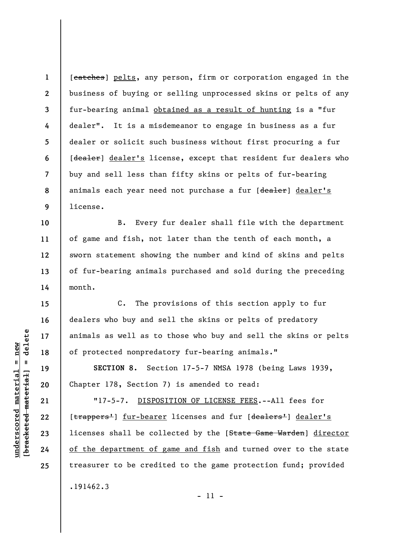**1 2 3 4 5 6 7 8 9**  [catches] pelts, any person, firm or corporation engaged in the business of buying or selling unprocessed skins or pelts of any fur-bearing animal obtained as a result of hunting is a "fur dealer". It is a misdemeanor to engage in business as a fur dealer or solicit such business without first procuring a fur [dealer] dealer's license, except that resident fur dealers who buy and sell less than fifty skins or pelts of fur-bearing animals each year need not purchase a fur [dealer] dealer's license.

B. Every fur dealer shall file with the department of game and fish, not later than the tenth of each month, a sworn statement showing the number and kind of skins and pelts of fur-bearing animals purchased and sold during the preceding month.

C. The provisions of this section apply to fur dealers who buy and sell the skins or pelts of predatory animals as well as to those who buy and sell the skins or pelts of protected nonpredatory fur-bearing animals."

**SECTION 8.** Section 17-5-7 NMSA 1978 (being Laws 1939, Chapter 178, Section 7) is amended to read:

"17-5-7. DISPOSITION OF LICENSE FEES.--All fees for [trappers<sup>1</sup>] fur-bearer licenses and fur [dealers<sup>1</sup>] dealer's licenses shall be collected by the [State Game Warden] director of the department of game and fish and turned over to the state treasurer to be credited to the game protection fund; provided .191462.3

delete **[bracketed material] = delete**  $underscored material = new$ **underscored material = new**  $\frac{1}{2}$ 

**10** 

**11** 

**12** 

**13** 

**14** 

**15** 

**16** 

**17** 

**18** 

**19** 

**20** 

**21** 

**22** 

**23** 

**24**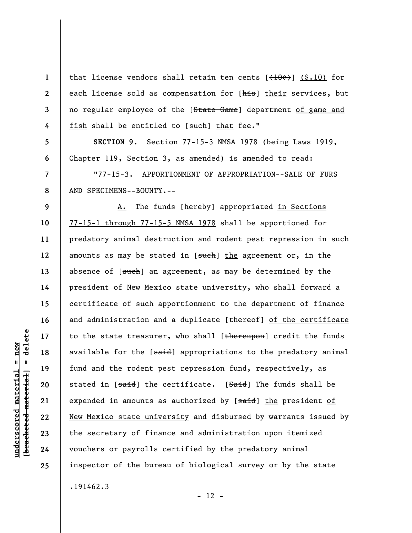that license vendors shall retain ten cents  $\left[\frac{1}{10} \epsilon\right]$  (\$.10) for each license sold as compensation for [his] their services, but no regular employee of the [State Game] department of game and fish shall be entitled to [such] that fee."

**SECTION 9.** Section 77-15-3 NMSA 1978 (being Laws 1919, Chapter 119, Section 3, as amended) is amended to read:

"77-15-3. APPORTIONMENT OF APPROPRIATION--SALE OF FURS AND SPECIMENS--BOUNTY.--

**9 10 11 12 13 14 15 16 17 18 19 20 21 22 23 24 25**  A. The funds [hereby] appropriated in Sections 77-15-1 through 77-15-5 NMSA 1978 shall be apportioned for predatory animal destruction and rodent pest repression in such amounts as may be stated in [such] the agreement or, in the absence of  $[s<sub>ut</sub>$ ch] an agreement, as may be determined by the president of New Mexico state university, who shall forward a certificate of such apportionment to the department of finance and administration and a duplicate [thereof] of the certificate to the state treasurer, who shall  $[$ thereupon] credit the funds available for the [said] appropriations to the predatory animal fund and the rodent pest repression fund, respectively, as stated in [said] the certificate. [Said] The funds shall be expended in amounts as authorized by [said] the president of New Mexico state university and disbursed by warrants issued by the secretary of finance and administration upon itemized vouchers or payrolls certified by the predatory animal inspector of the bureau of biological survey or by the state .191462.3

 $- 12 -$ 

**1** 

**2** 

**3** 

**4** 

**5** 

**6** 

**7**